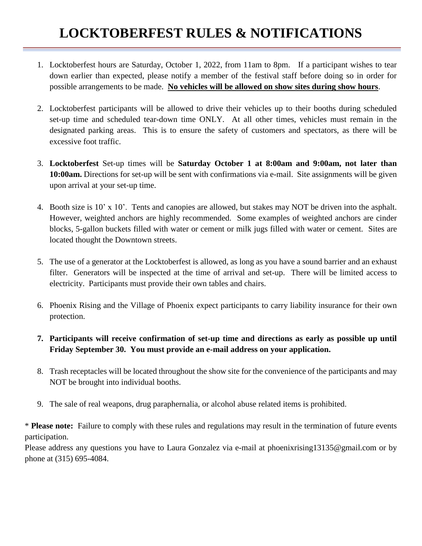# **LOCKTOBERFEST RULES & NOTIFICATIONS**

- 1. Locktoberfest hours are Saturday, October 1, 2022, from 11am to 8pm. If a participant wishes to tear down earlier than expected, please notify a member of the festival staff before doing so in order for possible arrangements to be made. **No vehicles will be allowed on show sites during show hours**.
- 2. Locktoberfest participants will be allowed to drive their vehicles up to their booths during scheduled set-up time and scheduled tear-down time ONLY. At all other times, vehicles must remain in the designated parking areas. This is to ensure the safety of customers and spectators, as there will be excessive foot traffic.
- 3. **Locktoberfest** Set-up times will be **Saturday October 1 at 8:00am and 9:00am, not later than 10:00am.** Directions for set-up will be sent with confirmations via e-mail. Site assignments will be given upon arrival at your set-up time.
- 4. Booth size is 10' x 10'. Tents and canopies are allowed, but stakes may NOT be driven into the asphalt. However, weighted anchors are highly recommended. Some examples of weighted anchors are cinder blocks, 5-gallon buckets filled with water or cement or milk jugs filled with water or cement. Sites are located thought the Downtown streets.
- 5. The use of a generator at the Locktoberfest is allowed, as long as you have a sound barrier and an exhaust filter. Generators will be inspected at the time of arrival and set-up. There will be limited access to electricity. Participants must provide their own tables and chairs.
- 6. Phoenix Rising and the Village of Phoenix expect participants to carry liability insurance for their own protection.
- **7. Participants will receive confirmation of set-up time and directions as early as possible up until Friday September 30. You must provide an e-mail address on your application.**
- 8. Trash receptacles will be located throughout the show site for the convenience of the participants and may NOT be brought into individual booths.
- 9. The sale of real weapons, drug paraphernalia, or alcohol abuse related items is prohibited.

\* **Please note:** Failure to comply with these rules and regulations may result in the termination of future events participation.

Please address any questions you have to Laura Gonzalez via e-mail at phoenixrising13135@gmail.com or by phone at (315) 695-4084.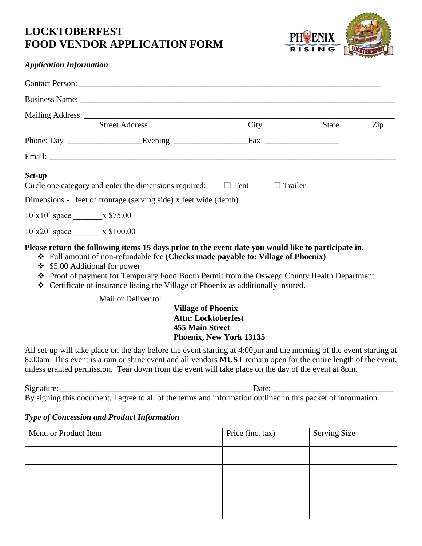# **LOCKTOBERFEST FOOD VENDOR APPLICATION FORM**



| <b>Street Address</b>                                                                                                                                                                   | City        | State          | Zip |
|-----------------------------------------------------------------------------------------------------------------------------------------------------------------------------------------|-------------|----------------|-----|
|                                                                                                                                                                                         |             |                |     |
|                                                                                                                                                                                         |             |                |     |
| Set-up<br>Circle one category and enter the dimensions required:                                                                                                                        | $\Box$ Tent | $\Box$ Trailer |     |
| Dimensions - feet of frontage (serving side) x feet wide (depth)                                                                                                                        |             |                |     |
| $10'x10'$ space $x $75.00$                                                                                                                                                              |             |                |     |
| $10'x20'$ space $x $100.00$                                                                                                                                                             |             |                |     |
| Please return the following items 15 days prior to the event date you would like to participate in.<br>❖ Full amount of non-refundable fee (Checks made payable to: Village of Phoenix) |             |                |     |

- $\div$  \$5.00 Additional for power
- \* Proof of payment for Temporary Food Booth Permit from the Oswego County Health Department
- Certificate of insurance listing the Village of Phoenix as additionally insured.

Mail or Deliver to:

### **Village of Phoenix Attn: Locktoberfest 455 Main Street Phoenix, New York 13135**

All set-up will take place on the day before the event starting at 4:00pm and the morning of the event starting at 8:00am This event is a rain or shine event and all vendors **MUST** remain open for the entire length of the event, unless granted permission. Tear down from the event will take place on the day of the event at 8pm.

| $\sim$                                                     |                                                                                    |
|------------------------------------------------------------|------------------------------------------------------------------------------------|
| $\mathbf{D}_{\mathbf{v}}$ gianing this<br>$A$ <sup>0</sup> | I gave to all of the tarms and information outlined in this neglect of information |

#### By signing this document, I agree to all of the terms and information outlined in this packet of information.

### *Type of Concession and Product Information*

| Menu or Product Item | Price (inc. tax) | <b>Serving Size</b> |
|----------------------|------------------|---------------------|
|                      |                  |                     |
|                      |                  |                     |
|                      |                  |                     |
|                      |                  |                     |
|                      |                  |                     |